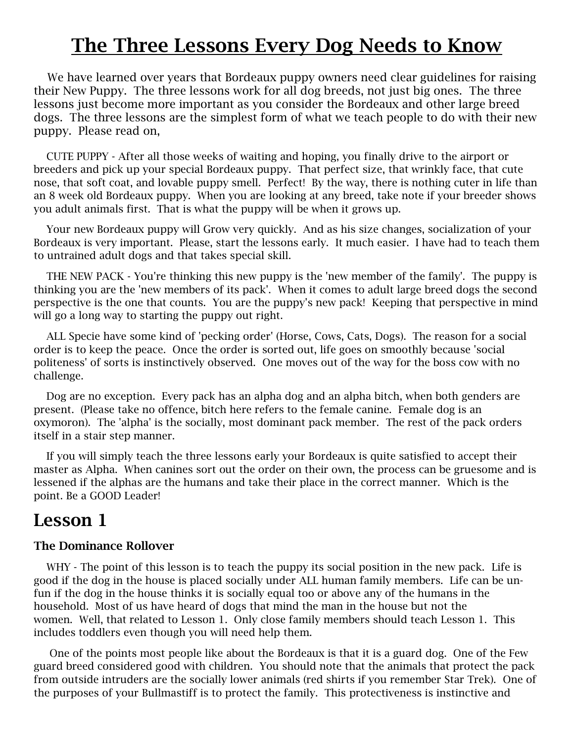# **The Three Lessons Every Dog Needs to Know**

 We have learned over years that Bordeaux puppy owners need clear guidelines for raising their New Puppy. The three lessons work for all dog breeds, not just big ones. The three lessons just become more important as you consider the Bordeaux and other large breed dogs. The three lessons are the simplest form of what we teach people to do with their new puppy. Please read on,

 CUTE PUPPY - After all those weeks of waiting and hoping, you finally drive to the airport or breeders and pick up your special Bordeaux puppy. That perfect size, that wrinkly face, that cute nose, that soft coat, and lovable puppy smell. Perfect! By the way, there is nothing cuter in life than an 8 week old Bordeaux puppy. When you are looking at any breed, take note if your breeder shows you adult animals first. That is what the puppy will be when it grows up.

 Your new Bordeaux puppy will Grow very quickly. And as his size changes, socialization of your Bordeaux is very important. Please, start the lessons early. It much easier. I have had to teach them to untrained adult dogs and that takes special skill.

 THE NEW PACK - You're thinking this new puppy is the 'new member of the family'. The puppy is thinking you are the 'new members of its pack'. When it comes to adult large breed dogs the second perspective is the one that counts. You are the puppy's new pack! Keeping that perspective in mind will go a long way to starting the puppy out right.

 ALL Specie have some kind of 'pecking order' (Horse, Cows, Cats, Dogs). The reason for a social order is to keep the peace. Once the order is sorted out, life goes on smoothly because 'social politeness' of sorts is instinctively observed. One moves out of the way for the boss cow with no challenge.

 Dog are no exception. Every pack has an alpha dog and an alpha bitch, when both genders are present. (Please take no offence, bitch here refers to the female canine. Female dog is an oxymoron). The 'alpha' is the socially, most dominant pack member. The rest of the pack orders itself in a stair step manner.

 If you will simply teach the three lessons early your Bordeaux is quite satisfied to accept their master as Alpha. When canines sort out the order on their own, the process can be gruesome and is lessened if the alphas are the humans and take their place in the correct manner. Which is the point. Be a GOOD Leader!

### **Lesson 1**

#### **The Dominance Rollover**

WHY - The point of this lesson is to teach the puppy its social position in the new pack. Life is good if the dog in the house is placed socially under ALL human family members. Life can be unfun if the dog in the house thinks it is socially equal too or above any of the humans in the household. Most of us have heard of dogs that mind the man in the house but not the women. Well, that related to Lesson 1. Only close family members should teach Lesson 1. This includes toddlers even though you will need help them.

 One of the points most people like about the Bordeaux is that it is a guard dog. One of the Few guard breed considered good with children. You should note that the animals that protect the pack from outside intruders are the socially lower animals (red shirts if you remember Star Trek). One of the purposes of your Bullmastiff is to protect the family. This protectiveness is instinctive and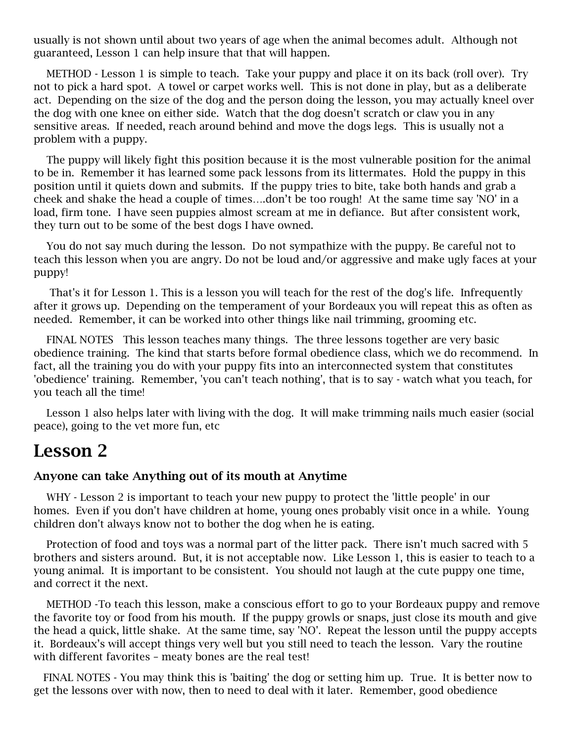usually is not shown until about two years of age when the animal becomes adult. Although not guaranteed, Lesson 1 can help insure that that will happen.

 METHOD - Lesson 1 is simple to teach. Take your puppy and place it on its back (roll over). Try not to pick a hard spot. A towel or carpet works well. This is not done in play, but as a deliberate act. Depending on the size of the dog and the person doing the lesson, you may actually kneel over the dog with one knee on either side. Watch that the dog doesn't scratch or claw you in any sensitive areas. If needed, reach around behind and move the dogs legs. This is usually not a problem with a puppy.

 The puppy will likely fight this position because it is the most vulnerable position for the animal to be in. Remember it has learned some pack lessons from its littermates. Hold the puppy in this position until it quiets down and submits. If the puppy tries to bite, take both hands and grab a cheek and shake the head a couple of times….don't be too rough! At the same time say 'NO' in a load, firm tone. I have seen puppies almost scream at me in defiance. But after consistent work, they turn out to be some of the best dogs I have owned.

 You do not say much during the lesson. Do not sympathize with the puppy. Be careful not to teach this lesson when you are angry. Do not be loud and/or aggressive and make ugly faces at your puppy!

 That's it for Lesson 1. This is a lesson you will teach for the rest of the dog's life. Infrequently after it grows up. Depending on the temperament of your Bordeaux you will repeat this as often as needed. Remember, it can be worked into other things like nail trimming, grooming etc.

 FINAL NOTES This lesson teaches many things. The three lessons together are very basic obedience training. The kind that starts before formal obedience class, which we do recommend. In fact, all the training you do with your puppy fits into an interconnected system that constitutes 'obedience' training. Remember, 'you can't teach nothing', that is to say - watch what you teach, for you teach all the time!

 Lesson 1 also helps later with living with the dog. It will make trimming nails much easier (social peace), going to the vet more fun, etc

### **Lesson 2**

#### **Anyone can take Anything out of its mouth at Anytime**

 WHY - Lesson 2 is important to teach your new puppy to protect the 'little people' in our homes. Even if you don't have children at home, young ones probably visit once in a while. Young children don't always know not to bother the dog when he is eating.

 Protection of food and toys was a normal part of the litter pack. There isn't much sacred with 5 brothers and sisters around. But, it is not acceptable now. Like Lesson 1, this is easier to teach to a young animal. It is important to be consistent. You should not laugh at the cute puppy one time, and correct it the next.

 METHOD -To teach this lesson, make a conscious effort to go to your Bordeaux puppy and remove the favorite toy or food from his mouth. If the puppy growls or snaps, just close its mouth and give the head a quick, little shake. At the same time, say 'NO'. Repeat the lesson until the puppy accepts it. Bordeaux's will accept things very well but you still need to teach the lesson. Vary the routine with different favorites – meaty bones are the real test!

 FINAL NOTES - You may think this is 'baiting' the dog or setting him up. True. It is better now to get the lessons over with now, then to need to deal with it later. Remember, good obedience